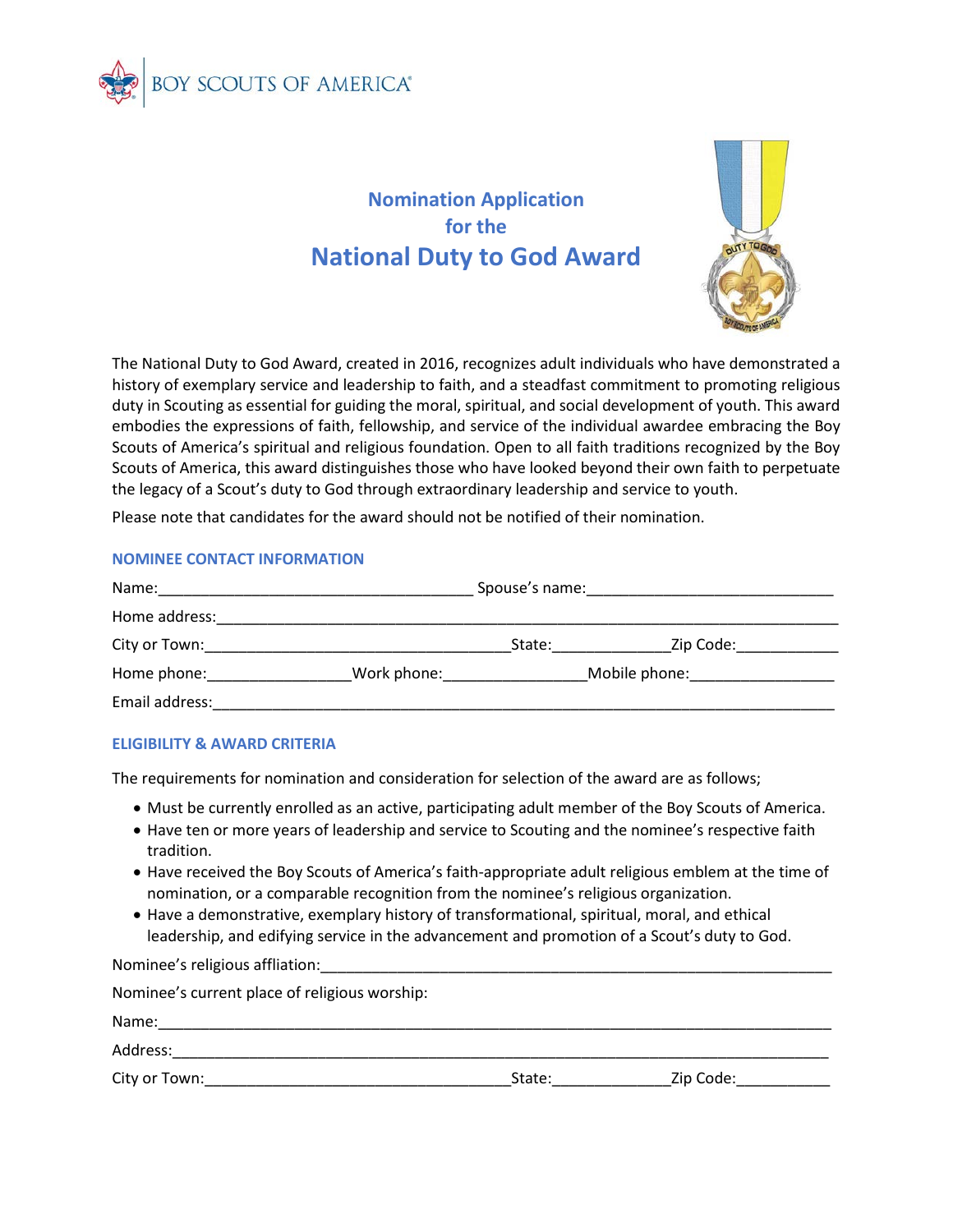

# **Nomination Application for the National Duty to God Award**



The National Duty to God Award, created in 2016, recognizes adult individuals who have demonstrated a history of exemplary service and leadership to faith, and a steadfast commitment to promoting religious duty in Scouting as essential for guiding the moral, spiritual, and social development of youth. This award embodies the expressions of faith, fellowship, and service of the individual awardee embracing the Boy Scouts of America's spiritual and religious foundation. Open to all faith traditions recognized by the Boy Scouts of America, this award distinguishes those who have looked beyond their own faith to perpetuate the legacy of a Scout's duty to God through extraordinary leadership and service to youth.

Please note that candidates for the award should not be notified of their nomination.

## **NOMINEE CONTACT INFORMATION**

|                |             |        | Spouse's name: example and a series of the series of the series of the series of the series of the series of the series of the series of the series of the series of the series of the series of the series of the series of t |  |
|----------------|-------------|--------|--------------------------------------------------------------------------------------------------------------------------------------------------------------------------------------------------------------------------------|--|
| Home address:  |             |        |                                                                                                                                                                                                                                |  |
| City or Town:  |             | State: | Zip Code:                                                                                                                                                                                                                      |  |
| Home phone:    | Work phone: |        | Mobile phone: Mobile phone:                                                                                                                                                                                                    |  |
| Email address: |             |        |                                                                                                                                                                                                                                |  |

### **ELIGIBILITY & AWARD CRITERIA**

Nominee's religious affliation:

The requirements for nomination and consideration for selection of the award are as follows;

- Must be currently enrolled as an active, participating adult member of the Boy Scouts of America.
- Have ten or more years of leadership and service to Scouting and the nominee's respective faith tradition.
- Have received the Boy Scouts of America's faith-appropriate adult religious emblem at the time of nomination, or a comparable recognition from the nominee's religious organization.
- Have a demonstrative, exemplary history of transformational, spiritual, moral, and ethical leadership, and edifying service in the advancement and promotion of a Scout's duty to God.

| <u>11011111100 J TChgrous difficulties and the contractor of the contractor of the contractor of the contractor of the contractor of the contractor of the contractor of the contractor of the contractor of the contractor of t</u> |        |           |  |  |  |
|--------------------------------------------------------------------------------------------------------------------------------------------------------------------------------------------------------------------------------------|--------|-----------|--|--|--|
| Nominee's current place of religious worship:                                                                                                                                                                                        |        |           |  |  |  |
| Name:                                                                                                                                                                                                                                |        |           |  |  |  |
| Address:                                                                                                                                                                                                                             |        |           |  |  |  |
| City or Town: the control of the control of the control of the control of the control of the control of the co                                                                                                                       | State: | Zip Code: |  |  |  |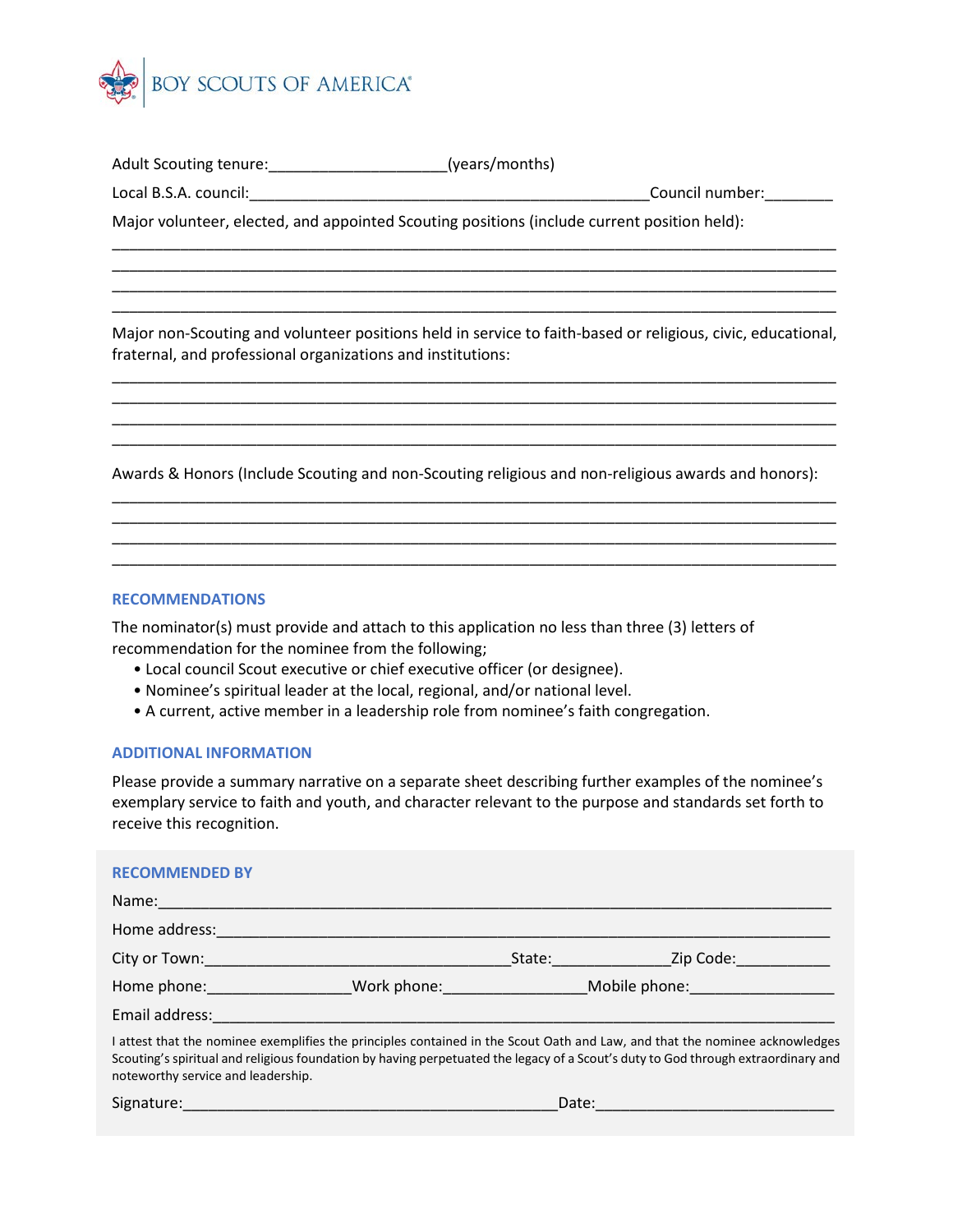

Adult Scouting tenure:\_\_\_\_\_\_\_\_\_\_\_\_\_\_\_\_\_\_\_\_\_(years/months)

Local B.S.A. council:\_\_\_\_\_\_\_\_\_\_\_\_\_\_\_\_\_\_\_\_\_\_\_\_\_\_\_\_\_\_\_\_\_\_\_\_\_\_\_\_\_\_\_\_\_\_\_Council number:\_\_\_\_\_\_\_\_

Major volunteer, elected, and appointed Scouting positions (include current position held):

Major non-Scouting and volunteer positions held in service to faith-based or religious, civic, educational, fraternal, and professional organizations and institutions:

\_\_\_\_\_\_\_\_\_\_\_\_\_\_\_\_\_\_\_\_\_\_\_\_\_\_\_\_\_\_\_\_\_\_\_\_\_\_\_\_\_\_\_\_\_\_\_\_\_\_\_\_\_\_\_\_\_\_\_\_\_\_\_\_\_\_\_\_\_\_\_\_\_\_\_\_\_\_\_\_\_\_\_\_\_ \_\_\_\_\_\_\_\_\_\_\_\_\_\_\_\_\_\_\_\_\_\_\_\_\_\_\_\_\_\_\_\_\_\_\_\_\_\_\_\_\_\_\_\_\_\_\_\_\_\_\_\_\_\_\_\_\_\_\_\_\_\_\_\_\_\_\_\_\_\_\_\_\_\_\_\_\_\_\_\_\_\_\_\_\_ \_\_\_\_\_\_\_\_\_\_\_\_\_\_\_\_\_\_\_\_\_\_\_\_\_\_\_\_\_\_\_\_\_\_\_\_\_\_\_\_\_\_\_\_\_\_\_\_\_\_\_\_\_\_\_\_\_\_\_\_\_\_\_\_\_\_\_\_\_\_\_\_\_\_\_\_\_\_\_\_\_\_\_\_\_ \_\_\_\_\_\_\_\_\_\_\_\_\_\_\_\_\_\_\_\_\_\_\_\_\_\_\_\_\_\_\_\_\_\_\_\_\_\_\_\_\_\_\_\_\_\_\_\_\_\_\_\_\_\_\_\_\_\_\_\_\_\_\_\_\_\_\_\_\_\_\_\_\_\_\_\_\_\_\_\_\_\_\_\_\_

\_\_\_\_\_\_\_\_\_\_\_\_\_\_\_\_\_\_\_\_\_\_\_\_\_\_\_\_\_\_\_\_\_\_\_\_\_\_\_\_\_\_\_\_\_\_\_\_\_\_\_\_\_\_\_\_\_\_\_\_\_\_\_\_\_\_\_\_\_\_\_\_\_\_\_\_\_\_\_\_\_\_\_\_\_ \_\_\_\_\_\_\_\_\_\_\_\_\_\_\_\_\_\_\_\_\_\_\_\_\_\_\_\_\_\_\_\_\_\_\_\_\_\_\_\_\_\_\_\_\_\_\_\_\_\_\_\_\_\_\_\_\_\_\_\_\_\_\_\_\_\_\_\_\_\_\_\_\_\_\_\_\_\_\_\_\_\_\_\_\_ \_\_\_\_\_\_\_\_\_\_\_\_\_\_\_\_\_\_\_\_\_\_\_\_\_\_\_\_\_\_\_\_\_\_\_\_\_\_\_\_\_\_\_\_\_\_\_\_\_\_\_\_\_\_\_\_\_\_\_\_\_\_\_\_\_\_\_\_\_\_\_\_\_\_\_\_\_\_\_\_\_\_\_\_\_ \_\_\_\_\_\_\_\_\_\_\_\_\_\_\_\_\_\_\_\_\_\_\_\_\_\_\_\_\_\_\_\_\_\_\_\_\_\_\_\_\_\_\_\_\_\_\_\_\_\_\_\_\_\_\_\_\_\_\_\_\_\_\_\_\_\_\_\_\_\_\_\_\_\_\_\_\_\_\_\_\_\_\_\_\_

Awards & Honors (Include Scouting and non-Scouting religious and non-religious awards and honors): \_\_\_\_\_\_\_\_\_\_\_\_\_\_\_\_\_\_\_\_\_\_\_\_\_\_\_\_\_\_\_\_\_\_\_\_\_\_\_\_\_\_\_\_\_\_\_\_\_\_\_\_\_\_\_\_\_\_\_\_\_\_\_\_\_\_\_\_\_\_\_\_\_\_\_\_\_\_\_\_\_\_\_\_\_

\_\_\_\_\_\_\_\_\_\_\_\_\_\_\_\_\_\_\_\_\_\_\_\_\_\_\_\_\_\_\_\_\_\_\_\_\_\_\_\_\_\_\_\_\_\_\_\_\_\_\_\_\_\_\_\_\_\_\_\_\_\_\_\_\_\_\_\_\_\_\_\_\_\_\_\_\_\_\_\_\_\_\_\_\_ \_\_\_\_\_\_\_\_\_\_\_\_\_\_\_\_\_\_\_\_\_\_\_\_\_\_\_\_\_\_\_\_\_\_\_\_\_\_\_\_\_\_\_\_\_\_\_\_\_\_\_\_\_\_\_\_\_\_\_\_\_\_\_\_\_\_\_\_\_\_\_\_\_\_\_\_\_\_\_\_\_\_\_\_\_ \_\_\_\_\_\_\_\_\_\_\_\_\_\_\_\_\_\_\_\_\_\_\_\_\_\_\_\_\_\_\_\_\_\_\_\_\_\_\_\_\_\_\_\_\_\_\_\_\_\_\_\_\_\_\_\_\_\_\_\_\_\_\_\_\_\_\_\_\_\_\_\_\_\_\_\_\_\_\_\_\_\_\_\_\_

#### **RECOMMENDATIONS**

The nominator(s) must provide and attach to this application no less than three (3) letters of recommendation for the nominee from the following;

- Local council Scout executive or chief executive officer (or designee).
- Nominee's spiritual leader at the local, regional, and/or national level.
- A current, active member in a leadership role from nominee's faith congregation.

## **ADDITIONAL INFORMATION**

Please provide a summary narrative on a separate sheet describing further examples of the nominee's exemplary service to faith and youth, and character relevant to the purpose and standards set forth to receive this recognition.

### **RECOMMENDED BY**

| Name:                                                                                                                                                                                                                                                                                                  |                                                                                                                 |               |           |  |
|--------------------------------------------------------------------------------------------------------------------------------------------------------------------------------------------------------------------------------------------------------------------------------------------------------|-----------------------------------------------------------------------------------------------------------------|---------------|-----------|--|
| Home address:                                                                                                                                                                                                                                                                                          |                                                                                                                 |               |           |  |
| City or Town:                                                                                                                                                                                                                                                                                          | State:                                                                                                          |               | Zip Code: |  |
| Home phone: and the state of the state of the state of the state of the state of the state of the state of the                                                                                                                                                                                         | Work phone: when the state of the state of the state of the state of the state of the state of the state of the | Mobile phone: |           |  |
| Email address:                                                                                                                                                                                                                                                                                         |                                                                                                                 |               |           |  |
| I attest that the nominee exemplifies the principles contained in the Scout Oath and Law, and that the nominee acknowledges<br>Scouting's spiritual and religious foundation by having perpetuated the legacy of a Scout's duty to God through extraordinary and<br>noteworthy service and leadership. |                                                                                                                 |               |           |  |
| Signature:                                                                                                                                                                                                                                                                                             |                                                                                                                 | Date:         |           |  |